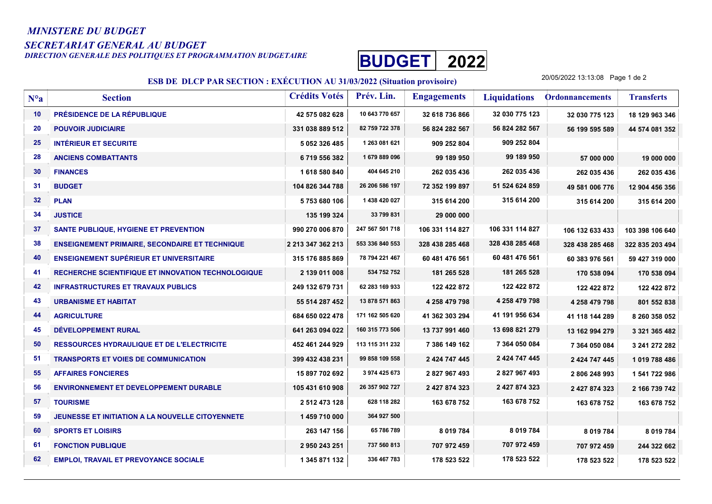## MINISTERE DU BUDGET

SECRETARIAT GENERAL AU BUDGET<br>DIRECTION GENERALE DES POLITIQUES ET PROGRAMMATION BUDGETAIRE



## ESB DE DLCP PAR SECTION : EXÉCUTION AU 31/03/2022 (Situation provisoire)

20/05/2022 13:13:08 Page 1 de 2

| $N^o a$ | <b>Section</b>                                            | <b>Crédits Votés</b> | Prév. Lin.      | <b>Engagements</b> | <b>Liquidations</b> | <b>Ordonnancements</b> | <b>Transferts</b> |
|---------|-----------------------------------------------------------|----------------------|-----------------|--------------------|---------------------|------------------------|-------------------|
| 10      | PRÉSIDENCE DE LA RÉPUBLIQUE                               | 42 575 082 628       | 10 643 770 657  | 32 618 736 866     | 32 030 775 123      | 32 030 775 123         | 18 129 963 346    |
| 20      | <b>POUVOIR JUDICIAIRE</b>                                 | 331 038 889 512      | 82 759 722 378  | 56 824 282 567     | 56 824 282 567      | 56 199 595 589         | 44 574 081 352    |
| 25      | <b>INTÉRIEUR ET SECURITE</b>                              | 5 052 326 485        | 1 263 081 621   | 909 252 804        | 909 252 804         |                        |                   |
| 28      | <b>ANCIENS COMBATTANTS</b>                                | 6719556382           | 1679889096      | 99 189 950         | 99 189 950          | 57 000 000             | 19 000 000        |
| 30      | <b>FINANCES</b>                                           | 1618580840           | 404 645 210     | 262 035 436        | 262 035 436         | 262 035 436            | 262 035 436       |
| 31      | <b>BUDGET</b>                                             | 104 826 344 788      | 26 206 586 197  | 72 352 199 897     | 51 524 624 859      | 49 581 006 776         | 12 904 456 356    |
| 32      | <b>PLAN</b>                                               | 5753680106           | 1 438 420 027   | 315 614 200        | 315 614 200         | 315 614 200            | 315 614 200       |
| 34      | <b>JUSTICE</b>                                            | 135 199 324          | 33 799 831      | 29 000 000         |                     |                        |                   |
| 37      | SANTE PUBLIQUE, HYGIENE ET PREVENTION                     | 990 270 006 870      | 247 567 501 718 | 106 331 114 827    | 106 331 114 827     | 106 132 633 433        | 103 398 106 640   |
| 38      | <b>ENSEIGNEMENT PRIMAIRE, SECONDAIRE ET TECHNIQUE</b>     | 2 213 347 362 213    | 553 336 840 553 | 328 438 285 468    | 328 438 285 468     | 328 438 285 468        | 322 835 203 494   |
| 40      | <b>ENSEIGNEMENT SUPÉRIEUR ET UNIVERSITAIRE</b>            | 315 176 885 869      | 78 794 221 467  | 60 481 476 561     | 60 481 476 561      | 60 383 976 561         | 59 427 319 000    |
| 41      | <b>RECHERCHE SCIENTIFIQUE ET INNOVATION TECHNOLOGIQUE</b> | 2 139 011 008        | 534 752 752     | 181 265 528        | 181 265 528         | 170 538 094            | 170 538 094       |
| 42      | <b>INFRASTRUCTURES ET TRAVAUX PUBLICS</b>                 | 249 132 679 731      | 62 283 169 933  | 122 422 872        | 122 422 872         | 122 422 872            | 122 422 872       |
| 43      | <b>URBANISME ET HABITAT</b>                               | 55 514 287 452       | 13 878 571 863  | 4 258 479 798      | 4 258 479 798       | 4 258 479 798          | 801 552 838       |
| 44      | <b>AGRICULTURE</b>                                        | 684 650 022 478      | 171 162 505 620 | 41 362 303 294     | 41 191 956 634      | 41 118 144 289         | 8 260 358 052     |
| 45      | DÉVELOPPEMENT RURAL                                       | 641 263 094 022      | 160 315 773 506 | 13 737 991 460     | 13 698 821 279      | 13 162 994 279         | 3 321 365 482     |
| 50      | <b>RESSOURCES HYDRAULIQUE ET DE L'ELECTRICITE</b>         | 452 461 244 929      | 113 115 311 232 | 7 386 149 162      | 7 364 050 084       | 7 364 050 084          | 3 241 272 282     |
| 51      | <b>TRANSPORTS ET VOIES DE COMMUNICATION</b>               | 399 432 438 231      | 99 858 109 558  | 2 424 747 445      | 2 424 747 445       | 2 424 747 445          | 1 019 788 486     |
| 55      | <b>AFFAIRES FONCIERES</b>                                 | 15 897 702 692       | 3 974 425 673   | 2 827 967 493      | 2827967493          | 2806248993             | 1 541 722 986     |
| 56      | <b>ENVIRONNEMENT ET DEVELOPPEMENT DURABLE</b>             | 105 431 610 908      | 26 357 902 727  | 2 427 874 323      | 2 427 874 323       | 2 427 874 323          | 2 166 739 742     |
| 57      | <b>TOURISME</b>                                           | 2 512 473 128        | 628 118 282     | 163 678 752        | 163 678 752         | 163 678 752            | 163 678 752       |
| 59      | JEUNESSE ET INITIATION A LA NOUVELLE CITOYENNETE          | 1459710000           | 364 927 500     |                    |                     |                        |                   |
| 60      | <b>SPORTS ET LOISIRS</b>                                  | 263 147 156          | 65 786 789      | 8 019 784          | 8 019 784           | 8 019 784              | 8 019 784         |
| 61      | <b>FONCTION PUBLIQUE</b>                                  | 2 950 243 251        | 737 560 813     | 707 972 459        | 707 972 459         | 707 972 459            | 244 322 662       |
| 62      | <b>EMPLOI, TRAVAIL ET PREVOYANCE SOCIALE</b>              | 1 345 871 132        | 336 467 783     | 178 523 522        | 178 523 522         | 178 523 522            | 178 523 522       |